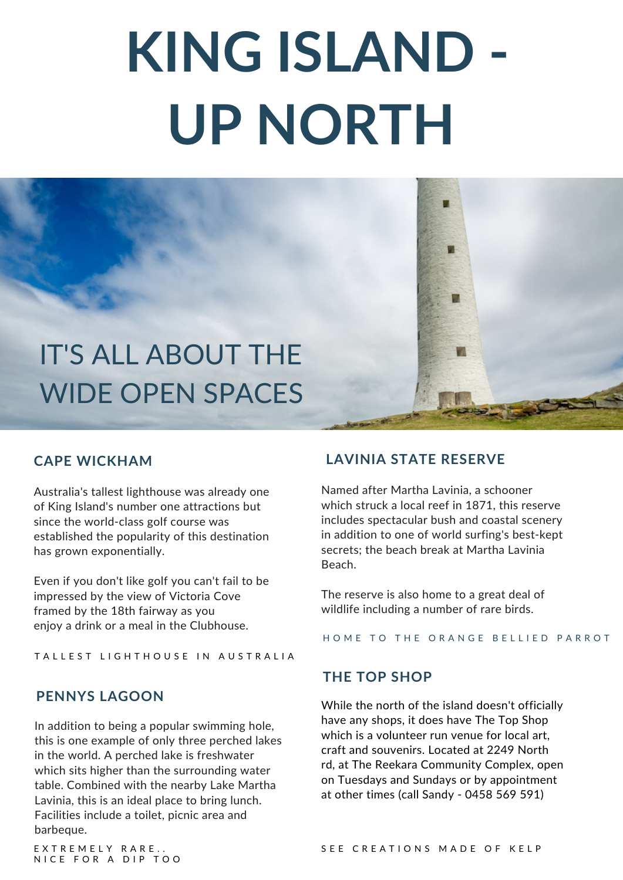# **KING ISLAND - UP NORTH**



#### **CAPE WICKHAM**

Australia's tallest lighthouse was already one of King Island's number one attractions but since the world-class golf course was established the popularity of this destination has grown exponentially.

Even if you don't like golf you can't fail to be impressed by the view of Victoria Cove framed by the 18th fairway as you enjoy a drink or a meal in the Clubhouse.

TALLEST LIGHTHOUSE IN AUSTRALIA

#### **PENNYS LAGOON**

In addition to being a popular swimming hole, this is one example of only three perched lakes in the world. A perched lake is freshwater which sits higher than the surrounding water table. Combined with the nearby Lake Martha Lavinia, this is an ideal place to bring lunch. Facilities include a toilet, picnic area and barbeque.

### **LAVINIA STATE RESERVE**

Named after Martha Lavinia, a schooner which struck a local reef in 1871, this reserve includes spectacular bush and coastal scenery in addition to one of world surfing's best-kept secrets; the beach break at Martha Lavinia Beach.

The reserve is also home to a great deal of wildlife including a number of rare birds.

HOME TO THE ORANGE BELLIED PARROT

#### **THE TOP SHOP**

While the north of the island doesn't officially have any shops, it does have The Top Shop which is a volunteer run venue for local art, craft and souvenirs. Located at 2249 North rd, at The Reekara Community Complex, open on Tuesdays and Sundays or by appointment at other times (call Sandy - 0458 569 591)

E X T R E M E L Y R A R E . . NICE FOR A DIP TOO